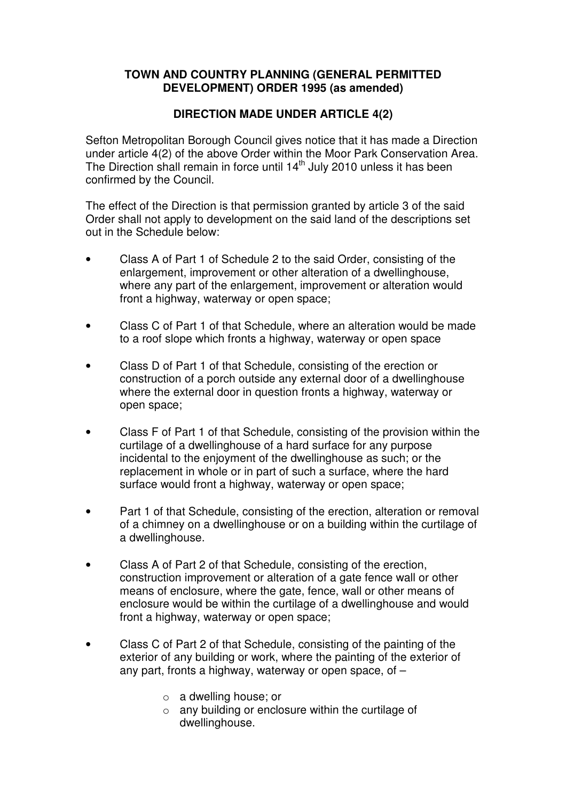## **TOWN AND COUNTRY PLANNING (GENERAL PERMITTED DEVELOPMENT) ORDER 1995 (as amended)**

## **DIRECTION MADE UNDER ARTICLE 4(2)**

Sefton Metropolitan Borough Council gives notice that it has made a Direction under article 4(2) of the above Order within the Moor Park Conservation Area. The Direction shall remain in force until 14<sup>th</sup> July 2010 unless it has been confirmed by the Council.

The effect of the Direction is that permission granted by article 3 of the said Order shall not apply to development on the said land of the descriptions set out in the Schedule below:

- Class A of Part 1 of Schedule 2 to the said Order, consisting of the enlargement, improvement or other alteration of a dwellinghouse, where any part of the enlargement, improvement or alteration would front a highway, waterway or open space;
- Class C of Part 1 of that Schedule, where an alteration would be made to a roof slope which fronts a highway, waterway or open space
- Class D of Part 1 of that Schedule, consisting of the erection or construction of a porch outside any external door of a dwellinghouse where the external door in question fronts a highway, waterway or open space;
- Class F of Part 1 of that Schedule, consisting of the provision within the curtilage of a dwellinghouse of a hard surface for any purpose incidental to the enjoyment of the dwellinghouse as such; or the replacement in whole or in part of such a surface, where the hard surface would front a highway, waterway or open space;
- Part 1 of that Schedule, consisting of the erection, alteration or removal of a chimney on a dwellinghouse or on a building within the curtilage of a dwellinghouse.
- Class A of Part 2 of that Schedule, consisting of the erection, construction improvement or alteration of a gate fence wall or other means of enclosure, where the gate, fence, wall or other means of enclosure would be within the curtilage of a dwellinghouse and would front a highway, waterway or open space;
- Class C of Part 2 of that Schedule, consisting of the painting of the exterior of any building or work, where the painting of the exterior of any part, fronts a highway, waterway or open space, of –
	- o a dwelling house; or
	- o any building or enclosure within the curtilage of dwellinghouse.